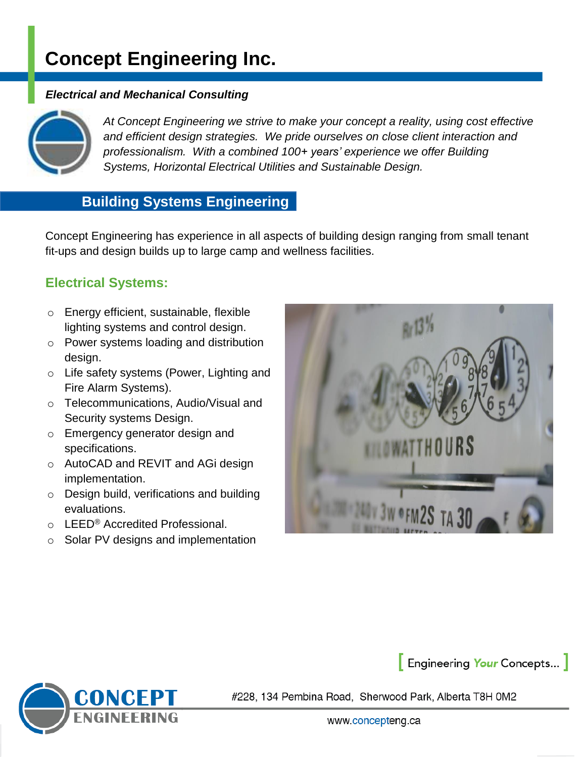# **Concept Engineering Inc.**

#### *Electrical and Mechanical Consulting*



*At Concept Engineering we strive to make your concept a reality, using cost effective and efficient design strategies. We pride ourselves on close client interaction and professionalism. With a combined 100+ years' experience we offer Building Systems, Horizontal Electrical Utilities and Sustainable Design.*

# **Building Systems Engineering**

Concept Engineering has experience in all aspects of building design ranging from small tenant fit-ups and design builds up to large camp and wellness facilities.

### **Electrical Systems:**

- o Energy efficient, sustainable, flexible lighting systems and control design.
- o Power systems loading and distribution design.
- o Life safety systems (Power, Lighting and Fire Alarm Systems).
- o Telecommunications, Audio/Visual and Security systems Design.
- o Emergency generator design and specifications.
- o AutoCAD and REVIT and AGi design implementation.
- o Design build, verifications and building evaluations.
- o LEED® Accredited Professional.
- o Solar PV designs and implementation





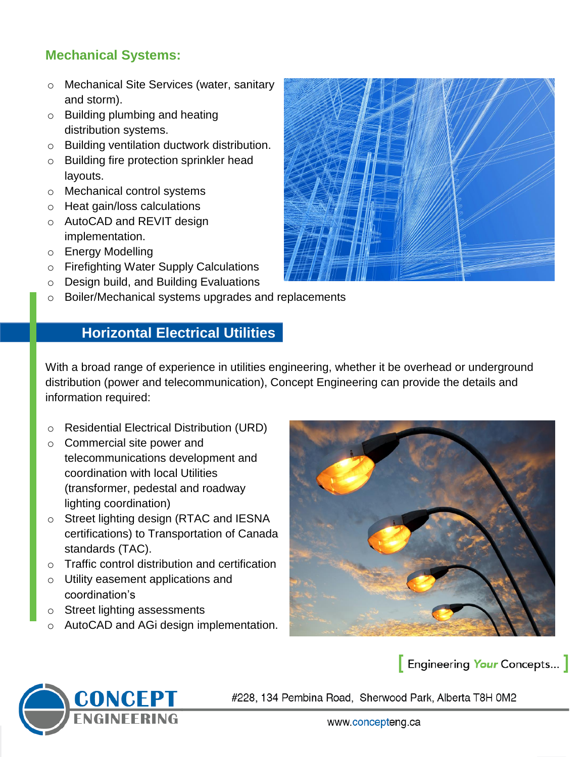# **Mechanical Systems:**

- o Mechanical Site Services (water, sanitary and storm).
- o Building plumbing and heating distribution systems.
- o Building ventilation ductwork distribution.
- o Building fire protection sprinkler head layouts.
- o Mechanical control systems
- o Heat gain/loss calculations
- o AutoCAD and REVIT design implementation.
- o Energy Modelling
- o Firefighting Water Supply Calculations
- o Design build, and Building Evaluations
- o Boiler/Mechanical systems upgrades and replacements

# **Horizontal Electrical Utilities**

With a broad range of experience in utilities engineering, whether it be overhead or underground distribution (power and telecommunication), Concept Engineering can provide the details and information required:

- o Residential Electrical Distribution (URD)
- o Commercial site power and telecommunications development and coordination with local Utilities (transformer, pedestal and roadway lighting coordination)
- o Street lighting design (RTAC and IESNA certifications) to Transportation of Canada standards (TAC).
- o Traffic control distribution and certification
- o Utility easement applications and coordination's
- o Street lighting assessments
- o AutoCAD and AGi design implementation.



### **Engineering Your Concepts...**





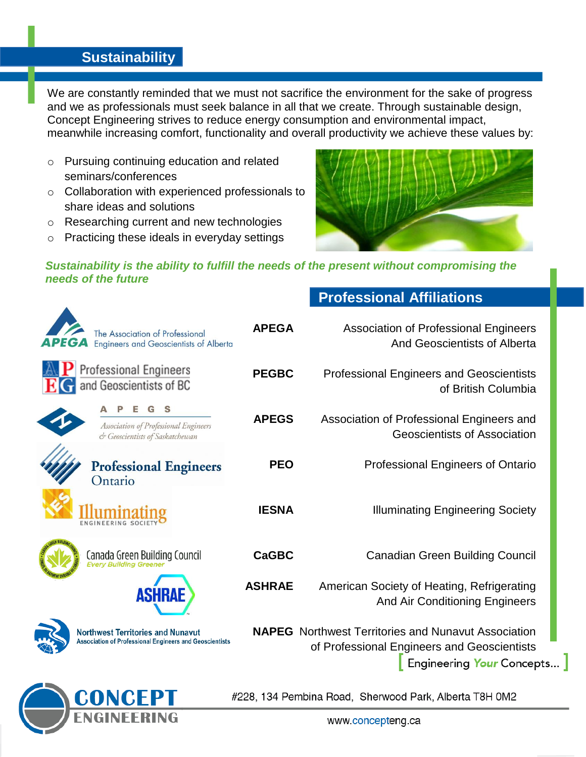## **Sustainability**

We are constantly reminded that we must not sacrifice the environment for the sake of progress and we as professionals must seek balance in all that we create. Through sustainable design, Concept Engineering strives to reduce energy consumption and environmental impact, meanwhile increasing comfort, functionality and overall productivity we achieve these values by:

- o Pursuing continuing education and related seminars/conferences
- o Collaboration with experienced professionals to share ideas and solutions
- o Researching current and new technologies
- o Practicing these ideals in everyday settings



**Professional Affiliations**

#### *Sustainability is the ability to fulfill the needs of the present without compromising the needs of the future*

| The Association of Professional<br><b>Engineers and Geoscientists of Alberta</b>                           | <b>APEGA</b>  | <b>Association of Professional Engineers</b><br>And Geoscientists of Alberta                                                           |  |
|------------------------------------------------------------------------------------------------------------|---------------|----------------------------------------------------------------------------------------------------------------------------------------|--|
| <b>Professional Engineers</b><br>and Geoscientists of BC                                                   | <b>PEGBC</b>  | <b>Professional Engineers and Geoscientists</b><br>of British Columbia                                                                 |  |
| Association of Professional Engineers<br>& Geoscientists of Saskatchewan                                   | <b>APEGS</b>  | Association of Professional Engineers and<br><b>Geoscientists of Association</b>                                                       |  |
| <b>Professional Engineers</b><br>Ontario                                                                   | <b>PEO</b>    | Professional Engineers of Ontario                                                                                                      |  |
|                                                                                                            | <b>IESNA</b>  | <b>Illuminating Engineering Society</b>                                                                                                |  |
| Canada Green Building Council<br>Every Building Greener                                                    | <b>CaGBC</b>  | <b>Canadian Green Building Council</b>                                                                                                 |  |
| <b>ASHRAE</b>                                                                                              | <b>ASHRAE</b> | American Society of Heating, Refrigerating<br>And Air Conditioning Engineers                                                           |  |
| <b>Northwest Territories and Nunavut</b><br><b>Association of Professional Engineers and Geoscientists</b> |               | <b>NAPEG</b> Northwest Territories and Nunavut Association<br>of Professional Engineers and Geoscientists<br>Engineering Your Concepts |  |
|                                                                                                            |               | #228, 134 Pembina Road, Sherwood Park, Alberta T8H 0M2                                                                                 |  |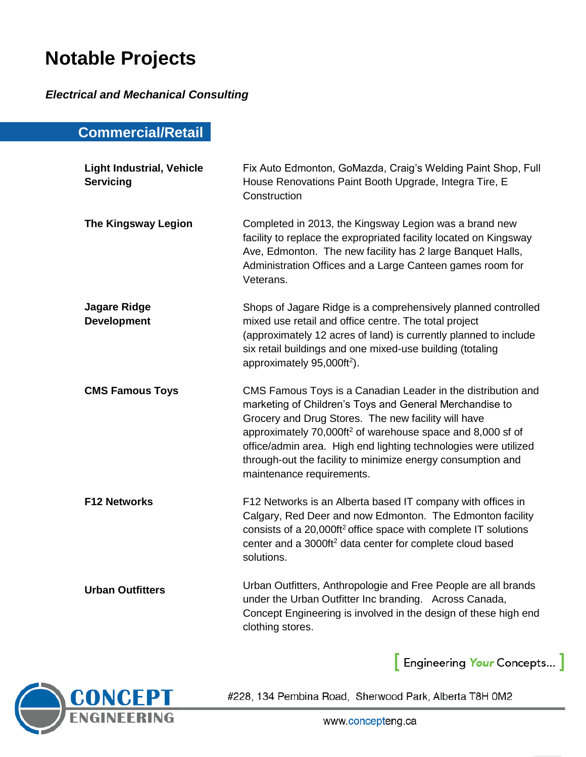# **Notable Projects**

*Electrical and Mechanical Consulting*

# **Commercial/Retail**

| <b>Light Industrial, Vehicle</b><br><b>Servicing</b> | Fix Auto Edmonton, GoMazda, Craig's Welding Paint Shop, Full<br>House Renovations Paint Booth Upgrade, Integra Tire, E<br>Construction                                                                                                                                                                                                                                                                                  |
|------------------------------------------------------|-------------------------------------------------------------------------------------------------------------------------------------------------------------------------------------------------------------------------------------------------------------------------------------------------------------------------------------------------------------------------------------------------------------------------|
| <b>The Kingsway Legion</b>                           | Completed in 2013, the Kingsway Legion was a brand new<br>facility to replace the expropriated facility located on Kingsway<br>Ave, Edmonton. The new facility has 2 large Banquet Halls,<br>Administration Offices and a Large Canteen games room for<br>Veterans.                                                                                                                                                     |
| <b>Jagare Ridge</b><br><b>Development</b>            | Shops of Jagare Ridge is a comprehensively planned controlled<br>mixed use retail and office centre. The total project<br>(approximately 12 acres of land) is currently planned to include<br>six retail buildings and one mixed-use building (totaling<br>approximately 95,000ft <sup>2</sup> ).                                                                                                                       |
| <b>CMS Famous Toys</b>                               | CMS Famous Toys is a Canadian Leader in the distribution and<br>marketing of Children's Toys and General Merchandise to<br>Grocery and Drug Stores. The new facility will have<br>approximately 70,000ft <sup>2</sup> of warehouse space and 8,000 sf of<br>office/admin area. High end lighting technologies were utilized<br>through-out the facility to minimize energy consumption and<br>maintenance requirements. |
| <b>F12 Networks</b>                                  | F12 Networks is an Alberta based IT company with offices in<br>Calgary, Red Deer and now Edmonton. The Edmonton facility<br>consists of a 20,000ft <sup>2</sup> office space with complete IT solutions<br>center and a 3000ft <sup>2</sup> data center for complete cloud based<br>solutions.                                                                                                                          |
| <b>Urban Outfitters</b>                              | Urban Outfitters, Anthropologie and Free People are all brands<br>under the Urban Outfitter Inc branding. Across Canada,<br>Concept Engineering is involved in the design of these high end<br>clothing stores.                                                                                                                                                                                                         |

Engineering Your Concepts... ]

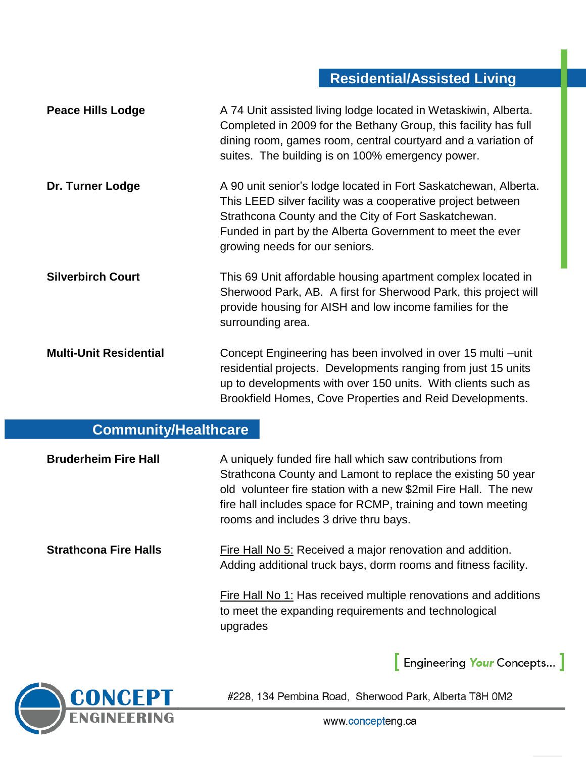# **Residential/Assisted Living**

| <b>Peace Hills Lodge</b>      | A 74 Unit assisted living lodge located in Wetaskiwin, Alberta.<br>Completed in 2009 for the Bethany Group, this facility has full<br>dining room, games room, central courtyard and a variation of<br>suites. The building is on 100% emergency power.                               |
|-------------------------------|---------------------------------------------------------------------------------------------------------------------------------------------------------------------------------------------------------------------------------------------------------------------------------------|
| Dr. Turner Lodge              | A 90 unit senior's lodge located in Fort Saskatchewan, Alberta.<br>This LEED silver facility was a cooperative project between<br>Strathcona County and the City of Fort Saskatchewan.<br>Funded in part by the Alberta Government to meet the ever<br>growing needs for our seniors. |
| <b>Silverbirch Court</b>      | This 69 Unit affordable housing apartment complex located in<br>Sherwood Park, AB. A first for Sherwood Park, this project will<br>provide housing for AISH and low income families for the<br>surrounding area.                                                                      |
| <b>Multi-Unit Residential</b> | Concept Engineering has been involved in over 15 multi – unit<br>residential projects. Developments ranging from just 15 units<br>up to developments with over 150 units. With clients such as<br>Brookfield Homes, Cove Properties and Reid Developments.                            |

# **Community/Healthcare**

| <b>Bruderheim Fire Hall</b>  | A uniquely funded fire hall which saw contributions from<br>Strathcona County and Lamont to replace the existing 50 year<br>old volunteer fire station with a new \$2mil Fire Hall. The new<br>fire hall includes space for RCMP, training and town meeting<br>rooms and includes 3 drive thru bays. |
|------------------------------|------------------------------------------------------------------------------------------------------------------------------------------------------------------------------------------------------------------------------------------------------------------------------------------------------|
| <b>Strathcona Fire Halls</b> | Fire Hall No 5: Received a major renovation and addition.<br>Adding additional truck bays, dorm rooms and fitness facility.                                                                                                                                                                          |
|                              | <b>Fire Hall No 1: Has received multiple renovations and additions</b><br>to meet the expanding requirements and technological<br>upgrades                                                                                                                                                           |



#228, 134 Pembina Road, Sherwood Park, Alberta T8H 0M2

Engineering Your Concepts... ]